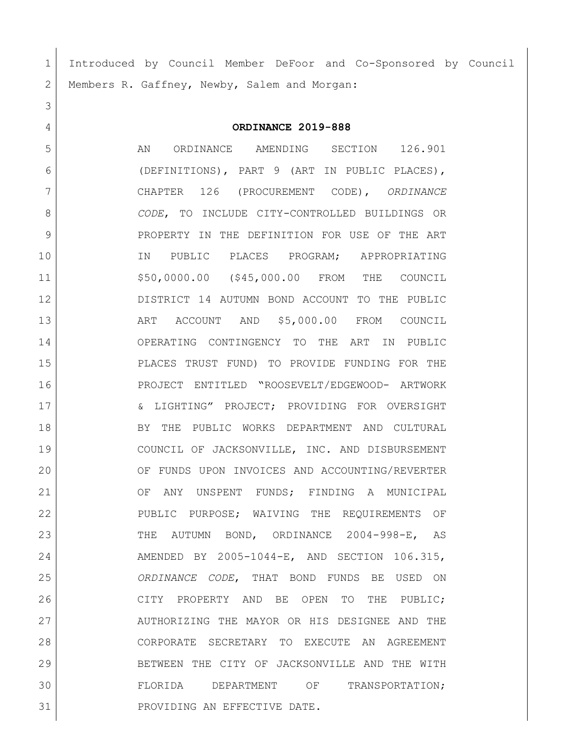Introduced by Council Member DeFoor and Co-Sponsored by Council 2 | Members R. Gaffney, Newby, Salem and Morgan:

## **ORDINANCE 2019-888**

 AN ORDINANCE AMENDING SECTION 126.901 (DEFINITIONS), PART 9 (ART IN PUBLIC PLACES), CHAPTER 126 (PROCUREMENT CODE), *ORDINANCE CODE*, TO INCLUDE CITY-CONTROLLED BUILDINGS OR PROPERTY IN THE DEFINITION FOR USE OF THE ART 10 IN PUBLIC PLACES PROGRAM; APPROPRIATING \$50,0000.00 (\$45,000.00 FROM THE COUNCIL DISTRICT 14 AUTUMN BOND ACCOUNT TO THE PUBLIC ART ACCOUNT AND \$5,000.00 FROM COUNCIL OPERATING CONTINGENCY TO THE ART IN PUBLIC PLACES TRUST FUND) TO PROVIDE FUNDING FOR THE PROJECT ENTITLED "ROOSEVELT/EDGEWOOD- ARTWORK & LIGHTING" PROJECT; PROVIDING FOR OVERSIGHT BY THE PUBLIC WORKS DEPARTMENT AND CULTURAL COUNCIL OF JACKSONVILLE, INC. AND DISBURSEMENT OF FUNDS UPON INVOICES AND ACCOUNTING/REVERTER 21 OF ANY UNSPENT FUNDS; FINDING A MUNICIPAL 22 PUBLIC PURPOSE; WAIVING THE REQUIREMENTS OF THE AUTUMN BOND, ORDINANCE 2004-998-E, AS AMENDED BY 2005-1044-E, AND SECTION 106.315, *ORDINANCE CODE*, THAT BOND FUNDS BE USED ON CITY PROPERTY AND BE OPEN TO THE PUBLIC; 27 AUTHORIZING THE MAYOR OR HIS DESIGNEE AND THE CORPORATE SECRETARY TO EXECUTE AN AGREEMENT BETWEEN THE CITY OF JACKSONVILLE AND THE WITH FLORIDA DEPARTMENT OF TRANSPORTATION; 31 | PROVIDING AN EFFECTIVE DATE.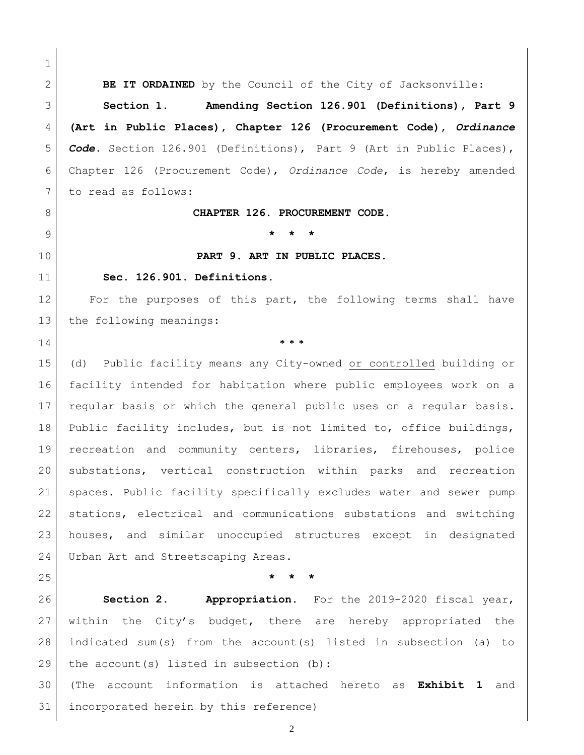**BE IT ORDAINED** by the Council of the City of Jacksonville: **Section 1. Amending Section 126.901 (Definitions), Part 9 (Art in Public Places), Chapter 126 (Procurement Code),** *Ordinance Code***.** Section 126.901 (Definitions), Part 9 (Art in Public Places), Chapter 126 (Procurement Code), *Ordinance Code*, is hereby amended 7 to read as follows: **CHAPTER 126. PROCUREMENT CODE. \* \* \* PART 9. ART IN PUBLIC PLACES. Sec. 126.901. Definitions.**  For the purposes of this part, the following terms shall have 13 the following meanings: **\* \* \*** (d) Public facility means any City-owned or controlled building or facility intended for habitation where public employees work on a regular basis or which the general public uses on a regular basis. Public facility includes, but is not limited to, office buildings, recreation and community centers, libraries, firehouses, police substations, vertical construction within parks and recreation spaces. Public facility specifically excludes water and sewer pump stations, electrical and communications substations and switching houses, and similar unoccupied structures except in designated 24 Urban Art and Streetscaping Areas. **\* \* \* Section 2. Appropriation.** For the 2019-2020 fiscal year, within the City's budget, there are hereby appropriated the indicated sum(s) from the account(s) listed in subsection (a) to the account(s) listed in subsection (b): (The account information is attached hereto as **Exhibit 1** and incorporated herein by this reference)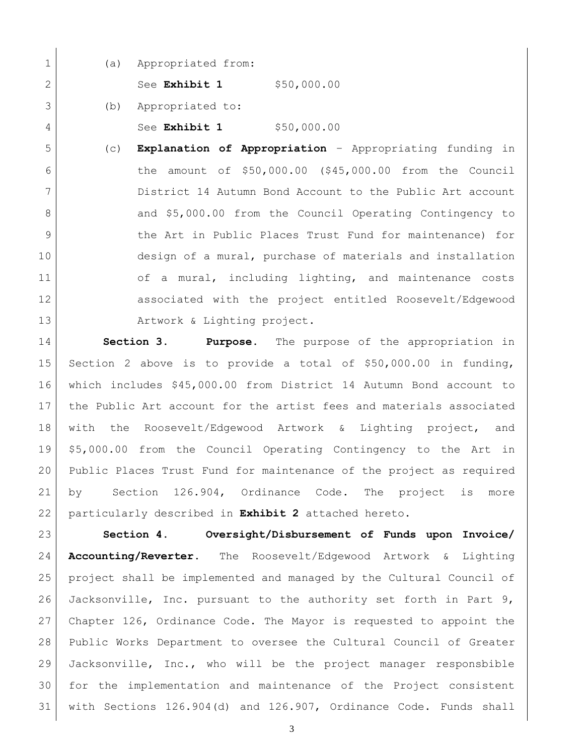(a) Appropriated from:

2 See **Exhibit 1** \$50,000.00

(b) Appropriated to:

See **Exhibit 1** \$50,000.00

 (c) **Explanation of Appropriation** – Appropriating funding in the amount of \$50,000.00 (\$45,000.00 from the Council District 14 Autumn Bond Account to the Public Art account 8 and \$5,000.00 from the Council Operating Contingency to 9 b the Art in Public Places Trust Fund for maintenance) for 10 design of a mural, purchase of materials and installation 11 of a mural, including lighting, and maintenance costs associated with the project entitled Roosevelt/Edgewood 13 Artwork & Lighting project.

 **Section 3. Purpose.** The purpose of the appropriation in Section 2 above is to provide a total of \$50,000.00 in funding, which includes \$45,000.00 from District 14 Autumn Bond account to the Public Art account for the artist fees and materials associated with the Roosevelt/Edgewood Artwork & Lighting project, and \$5,000.00 from the Council Operating Contingency to the Art in Public Places Trust Fund for maintenance of the project as required by Section 126.904, Ordinance Code. The project is more particularly described in **Exhibit 2** attached hereto.

 **Section 4. Oversight/Disbursement of Funds upon Invoice/ Accounting/Reverter.** The Roosevelt/Edgewood Artwork & Lighting project shall be implemented and managed by the Cultural Council of Jacksonville, Inc. pursuant to the authority set forth in Part 9, Chapter 126, Ordinance Code. The Mayor is requested to appoint the Public Works Department to oversee the Cultural Council of Greater Jacksonville, Inc., who will be the project manager responsbible for the implementation and maintenance of the Project consistent with Sections 126.904(d) and 126.907, Ordinance Code. Funds shall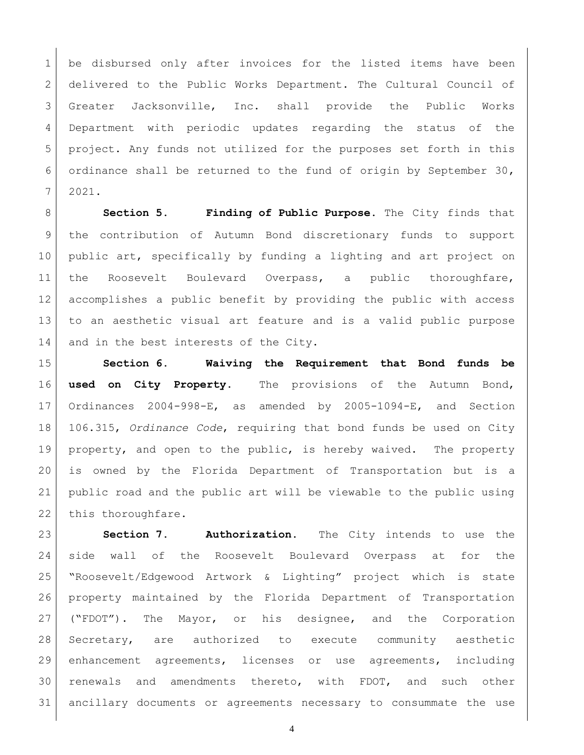1 be disbursed only after invoices for the listed items have been 2 delivered to the Public Works Department. The Cultural Council of Greater Jacksonville, Inc. shall provide the Public Works Department with periodic updates regarding the status of the project. Any funds not utilized for the purposes set forth in this 6 ordinance shall be returned to the fund of origin by September 30, 2021.

**Section 5. Finding of Public Purpose.** The City finds that the contribution of Autumn Bond discretionary funds to support public art, specifically by funding a lighting and art project on the Roosevelt Boulevard Overpass, a public thoroughfare, accomplishes a public benefit by providing the public with access to an aesthetic visual art feature and is a valid public purpose 14 and in the best interests of the City.

 **Section 6. Waiving the Requirement that Bond funds be used on City Property.** The provisions of the Autumn Bond, Ordinances 2004-998-E, as amended by 2005-1094-E, and Section 106.315, *Ordinance Code*, requiring that bond funds be used on City property, and open to the public, is hereby waived. The property is owned by the Florida Department of Transportation but is a public road and the public art will be viewable to the public using 22 this thoroughfare.

 **Section 7. Authorization**. The City intends to use the side wall of the Roosevelt Boulevard Overpass at for the "Roosevelt/Edgewood Artwork & Lighting" project which is state property maintained by the Florida Department of Transportation ("FDOT"). The Mayor, or his designee, and the Corporation Secretary, are authorized to execute community aesthetic enhancement agreements, licenses or use agreements, including renewals and amendments thereto, with FDOT, and such other ancillary documents or agreements necessary to consummate the use